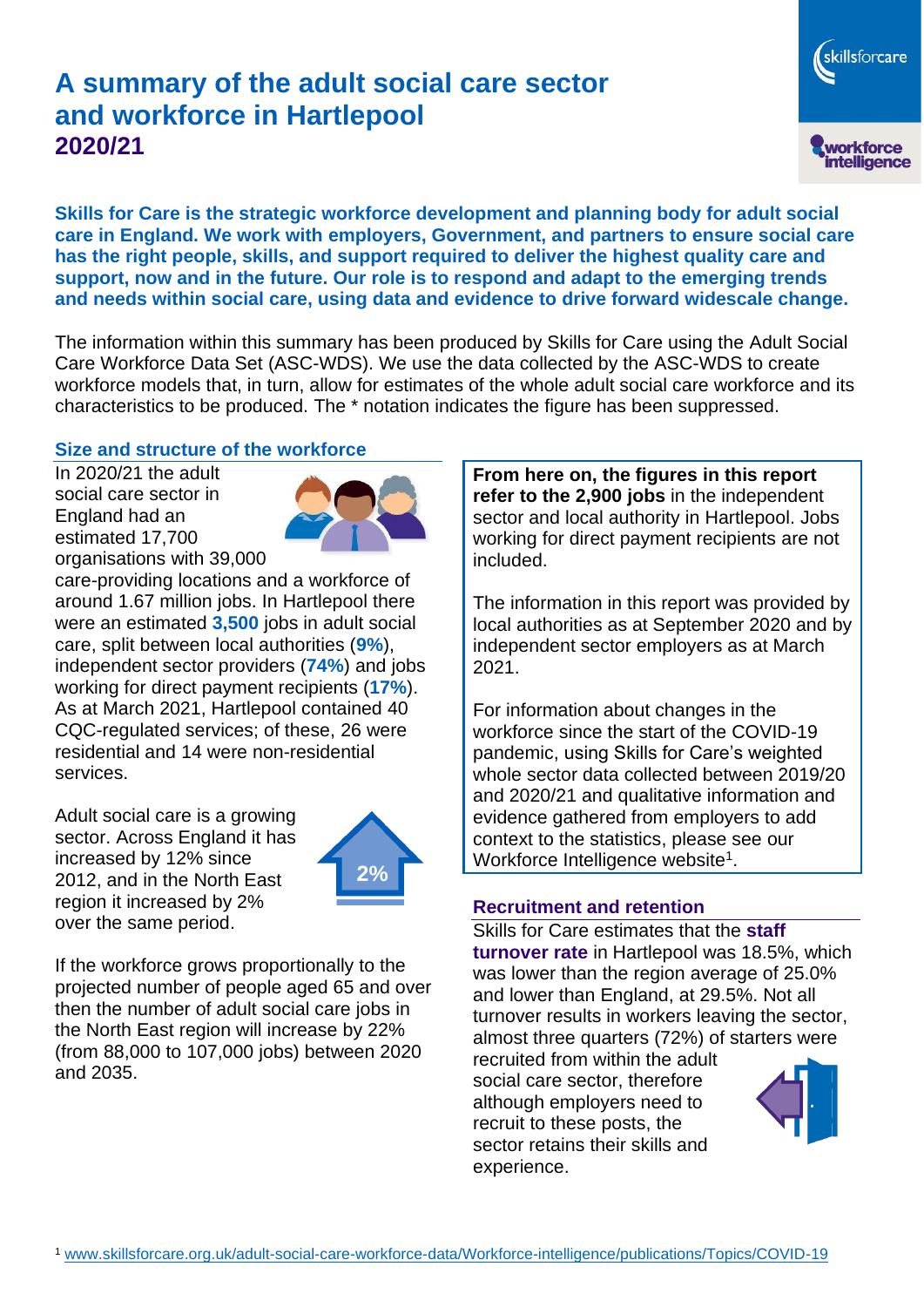# **A summary of the adult social care sector and workforce in Hartlepool 2020/21**

workforce<br>intelligence **Skills for Care is the strategic workforce development and planning body for adult social care in England. We work with employers, Government, and partners to ensure social care has the right people, skills, and support required to deliver the highest quality care and** 

**support, now and in the future. Our role is to respond and adapt to the emerging trends and needs within social care, using data and evidence to drive forward widescale change.**

The information within this summary has been produced by Skills for Care using the Adult Social Care Workforce Data Set (ASC-WDS). We use the data collected by the ASC-WDS to create workforce models that, in turn, allow for estimates of the whole adult social care workforce and its characteristics to be produced. The \* notation indicates the figure has been suppressed.

#### **Size and structure of the workforce**

In 2020/21 the adult social care sector in England had an estimated 17,700 organisations with 39,000



care-providing locations and a workforce of around 1.67 million jobs. In Hartlepool there were an estimated **3,500** jobs in adult social care, split between local authorities (**9%**), independent sector providers (**74%**) and jobs working for direct payment recipients (**17%**). As at March 2021, Hartlepool contained 40 CQC-regulated services; of these, 26 were residential and 14 were non-residential services.

Adult social care is a growing sector. Across England it has increased by 12% since 2012, and in the North East region it increased by 2% over the same period.



If the workforce grows proportionally to the projected number of people aged 65 and over then the number of adult social care jobs in the North East region will increase by 22% (from 88,000 to 107,000 jobs) between 2020 and 2035.

**From here on, the figures in this report refer to the 2,900 jobs** in the independent sector and local authority in Hartlepool. Jobs working for direct payment recipients are not included.

The information in this report was provided by local authorities as at September 2020 and by independent sector employers as at March 2021.

For information about changes in the workforce since the start of the COVID-19 pandemic, using Skills for Care's weighted whole sector data collected between 2019/20 and 2020/21 and qualitative information and evidence gathered from employers to add context to the statistics, please see our Workforce Intelligence website<sup>1</sup>.

#### **Recruitment and retention**

Skills for Care estimates that the **staff turnover rate** in Hartlepool was 18.5%, which was lower than the region average of 25.0% and lower than England, at 29.5%. Not all turnover results in workers leaving the sector, almost three quarters (72%) of starters were

recruited from within the adult social care sector, therefore although employers need to recruit to these posts, the sector retains their skills and experience.



skillsforcare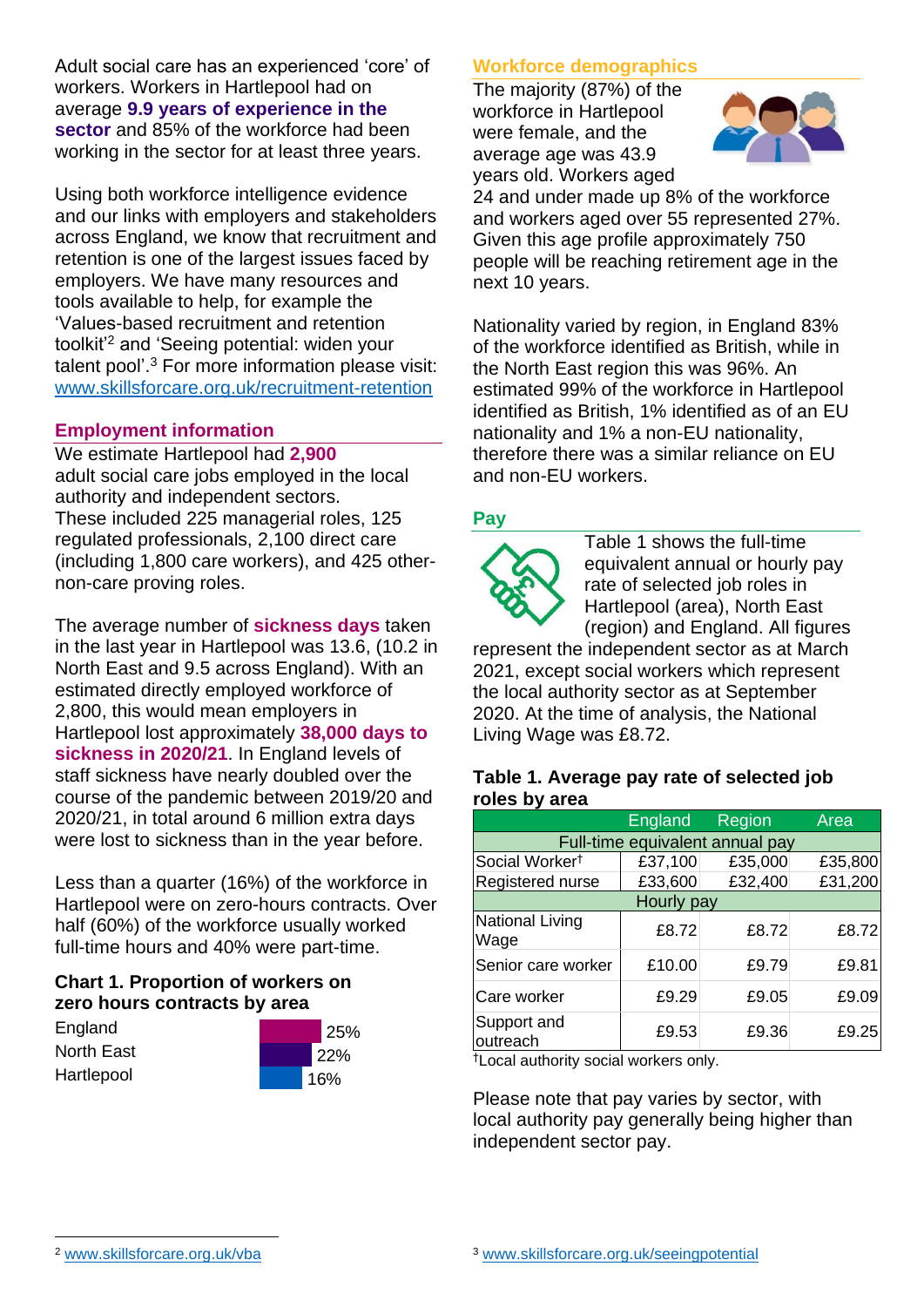Adult social care has an experienced 'core' of workers. Workers in Hartlepool had on average **9.9 years of experience in the sector** and 85% of the workforce had been working in the sector for at least three years.

Using both workforce intelligence evidence and our links with employers and stakeholders across England, we know that recruitment and retention is one of the largest issues faced by employers. We have many resources and tools available to help, for example the 'Values-based recruitment and retention toolkit'<sup>2</sup> and 'Seeing potential: widen your talent pool'. <sup>3</sup> For more information please visit: [www.skillsforcare.org.uk/recruitment-retention](http://www.skillsforcare.org.uk/recruitment-retention)

#### **Employment information**

We estimate Hartlepool had **2,900** adult social care jobs employed in the local authority and independent sectors. These included 225 managerial roles, 125 regulated professionals, 2,100 direct care (including 1,800 care workers), and 425 othernon-care proving roles.

The average number of **sickness days** taken in the last year in Hartlepool was 13.6, (10.2 in North East and 9.5 across England). With an estimated directly employed workforce of 2,800, this would mean employers in Hartlepool lost approximately **38,000 days to sickness in 2020/21**. In England levels of staff sickness have nearly doubled over the course of the pandemic between 2019/20 and 2020/21, in total around 6 million extra days were lost to sickness than in the year before.

Less than a quarter (16%) of the workforce in Hartlepool were on zero-hours contracts. Over half (60%) of the workforce usually worked full-time hours and 40% were part-time.

## **Chart 1. Proportion of workers on zero hours contracts by area**

**England** North East **Hartlepool** 



## **Workforce demographics**

The majority (87%) of the workforce in Hartlepool were female, and the average age was 43.9 years old. Workers aged



24 and under made up 8% of the workforce and workers aged over 55 represented 27%. Given this age profile approximately 750 people will be reaching retirement age in the next 10 years.

Nationality varied by region, in England 83% of the workforce identified as British, while in the North East region this was 96%. An estimated 99% of the workforce in Hartlepool identified as British, 1% identified as of an EU nationality and 1% a non-EU nationality, therefore there was a similar reliance on EU and non-EU workers.

## **Pay**



Table 1 shows the full-time equivalent annual or hourly pay rate of selected job roles in Hartlepool (area), North East (region) and England. All figures

represent the independent sector as at March 2021, except social workers which represent the local authority sector as at September 2020. At the time of analysis, the National Living Wage was £8.72.

#### **Table 1. Average pay rate of selected job roles by area**

|                                 | England | Region  | Area    |
|---------------------------------|---------|---------|---------|
| Full-time equivalent annual pay |         |         |         |
| Social Worker <sup>t</sup>      | £37,100 | £35,000 | £35,800 |
| Registered nurse                | £33,600 | £32,400 | £31,200 |
| Hourly pay                      |         |         |         |
| National Living<br>Wage         | £8.72   | £8.72   | £8.72   |
| Senior care worker              | £10.00  | £9.79   | £9.81   |
| Care worker                     | £9.29   | £9.05   | £9.09   |
| Support and<br>outreach         | £9.53   | £9.36   | £9.25   |

†Local authority social workers only.

Please note that pay varies by sector, with local authority pay generally being higher than independent sector pay.